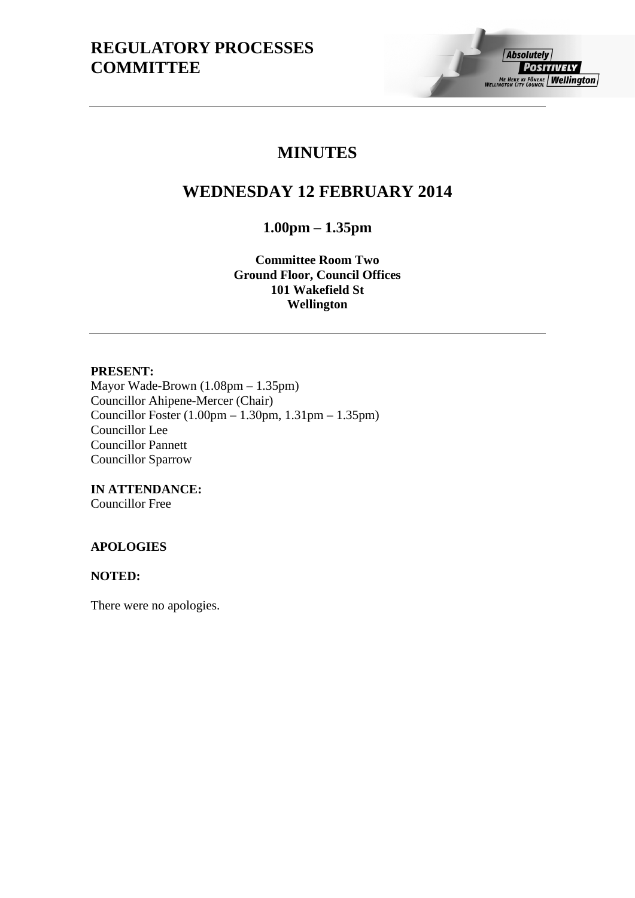# **MINUTES**

# **WEDNESDAY 12 FEBRUARY 2014**

**1.00pm – 1.35pm**

**Committee Room Two Ground Floor, Council Offices 101 Wakefield St Wellington**

## **PRESENT:**

Mayor Wade-Brown (1.08pm – 1.35pm) Councillor Ahipene-Mercer (Chair) Councillor Foster (1.00pm – 1.30pm, 1.31pm – 1.35pm) Councillor Lee Councillor Pannett Councillor Sparrow

**IN ATTENDANCE:** Councillor Free

# **APOLOGIES**

#### **NOTED:**

There were no apologies.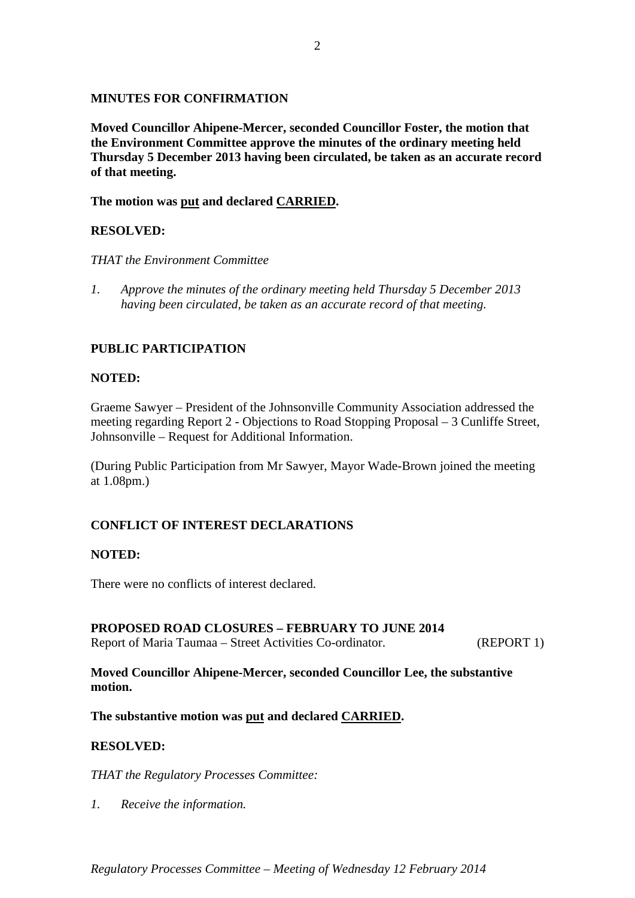#### **MINUTES FOR CONFIRMATION**

**Moved Councillor Ahipene-Mercer, seconded Councillor Foster, the motion that the Environment Committee approve the minutes of the ordinary meeting held Thursday 5 December 2013 having been circulated, be taken as an accurate record of that meeting.**

**The motion was put and declared CARRIED.**

# **RESOLVED:**

#### *THAT the Environment Committee*

*1. Approve the minutes of the ordinary meeting held Thursday 5 December 2013 having been circulated, be taken as an accurate record of that meeting.*

# **PUBLIC PARTICIPATION**

#### **NOTED:**

Graeme Sawyer – President of the Johnsonville Community Association addressed the meeting regarding Report 2 - Objections to Road Stopping Proposal – 3 Cunliffe Street, Johnsonville – Request for Additional Information.

(During Public Participation from Mr Sawyer, Mayor Wade-Brown joined the meeting at 1.08pm.)

# **CONFLICT OF INTEREST DECLARATIONS**

#### **NOTED:**

There were no conflicts of interest declared.

#### **PROPOSED ROAD CLOSURES – FEBRUARY TO JUNE 2014**

Report of Maria Taumaa – Street Activities Co-ordinator. (REPORT 1)

**Moved Councillor Ahipene-Mercer, seconded Councillor Lee, the substantive motion.**

**The substantive motion was put and declared CARRIED.**

#### **RESOLVED:**

*THAT the Regulatory Processes Committee:*

*1. Receive the information.* 

*Regulatory Processes Committee – Meeting of Wednesday 12 February 2014*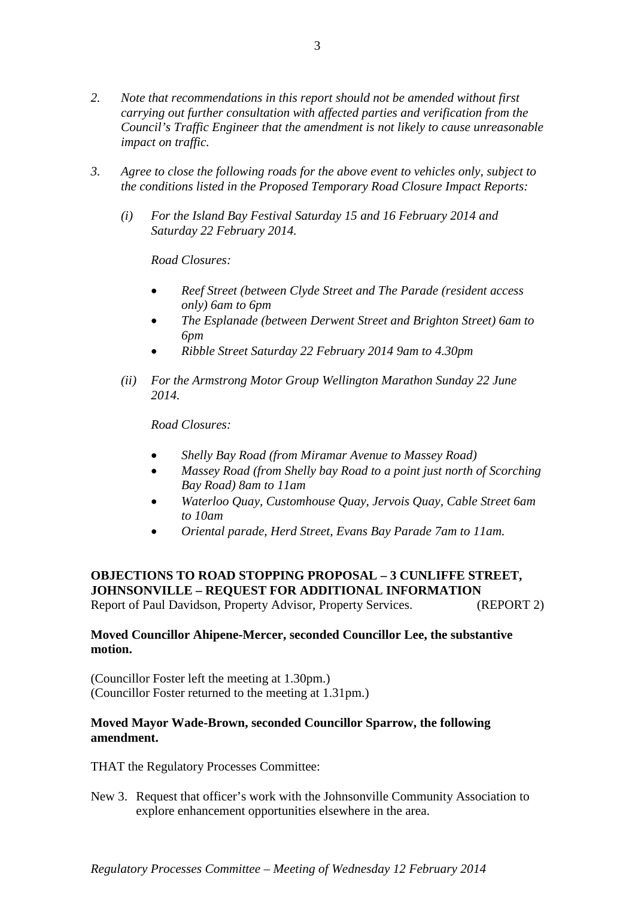- *2. Note that recommendations in this report should not be amended without first carrying out further consultation with affected parties and verification from the Council's Traffic Engineer that the amendment is not likely to cause unreasonable impact on traffic.*
- *3. Agree to close the following roads for the above event to vehicles only, subject to the conditions listed in the Proposed Temporary Road Closure Impact Reports:*
	- *(i) For the Island Bay Festival Saturday 15 and 16 February 2014 and Saturday 22 February 2014.*

*Road Closures:*

- *Reef Street (between Clyde Street and The Parade (resident access only) 6am to 6pm*
- *The Esplanade (between Derwent Street and Brighton Street) 6am to 6pm*
- *Ribble Street Saturday 22 February 2014 9am to 4.30pm*
- *(ii) For the Armstrong Motor Group Wellington Marathon Sunday 22 June 2014.*

*Road Closures:*

- *Shelly Bay Road (from Miramar Avenue to Massey Road)*
- *Massey Road (from Shelly bay Road to a point just north of Scorching Bay Road) 8am to 11am*
- *Waterloo Quay, Customhouse Quay, Jervois Quay, Cable Street 6am to 10am*
- *Oriental parade, Herd Street, Evans Bay Parade 7am to 11am.*

# **OBJECTIONS TO ROAD STOPPING PROPOSAL – 3 CUNLIFFE STREET, JOHNSONVILLE – REQUEST FOR ADDITIONAL INFORMATION**

Report of Paul Davidson, Property Advisor, Property Services. (REPORT 2)

## **Moved Councillor Ahipene-Mercer, seconded Councillor Lee, the substantive motion.**

(Councillor Foster left the meeting at 1.30pm.) (Councillor Foster returned to the meeting at 1.31pm.)

## **Moved Mayor Wade-Brown, seconded Councillor Sparrow, the following amendment.**

THAT the Regulatory Processes Committee:

New 3. Request that officer's work with the Johnsonville Community Association to explore enhancement opportunities elsewhere in the area.